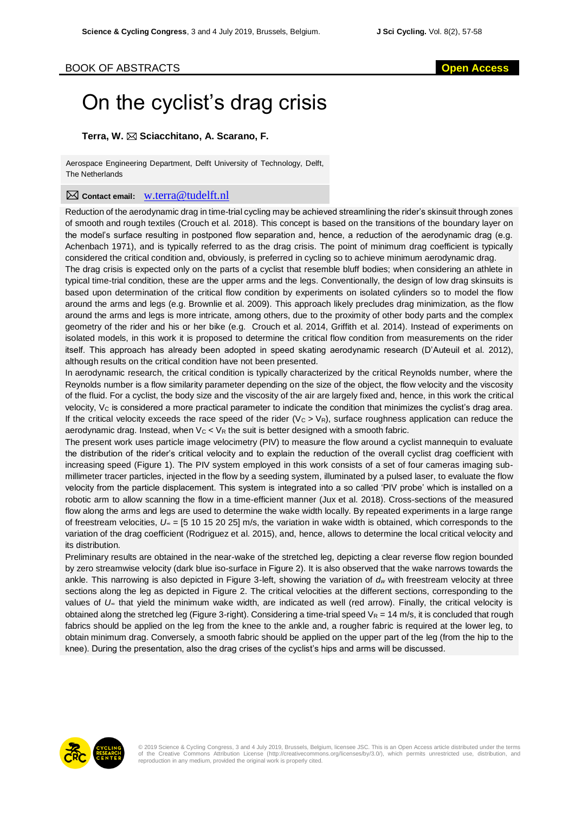## On the cyclist's drag crisis

## **Terra, W. Sciacchitano, A. Scarano, F.**

Aerospace Engineering Department, Delft University of Technology, Delft, The Netherlands

## **Contact email:** w.terra@tudelft.nl

Reduction of the aerodynamic drag in time-trial cycling may be achieved streamlining the rider's skinsuit through zones of smooth and rough textiles (Crouch et al. 2018). This concept is based on the transitions of the boundary layer on the model's surface resulting in postponed flow separation and, hence, a reduction of the aerodynamic drag (e.g. Achenbach 1971), and is typically referred to as the drag crisis. The point of minimum drag coefficient is typically considered the critical condition and, obviously, is preferred in cycling so to achieve minimum aerodynamic drag.

The drag crisis is expected only on the parts of a cyclist that resemble bluff bodies; when considering an athlete in typical time-trial condition, these are the upper arms and the legs. Conventionally, the design of low drag skinsuits is based upon determination of the critical flow condition by experiments on isolated cylinders so to model the flow around the arms and legs (e.g. Brownlie et al. 2009). This approach likely precludes drag minimization, as the flow around the arms and legs is more intricate, among others, due to the proximity of other body parts and the complex geometry of the rider and his or her bike (e.g. Crouch et al. 2014, Griffith et al. 2014). Instead of experiments on isolated models, in this work it is proposed to determine the critical flow condition from measurements on the rider itself. This approach has already been adopted in speed skating aerodynamic research (D'Auteuil et al. 2012), although results on the critical condition have not been presented.

In aerodynamic research, the critical condition is typically characterized by the critical Reynolds number, where the Reynolds number is a flow similarity parameter depending on the size of the object, the flow velocity and the viscosity of the fluid. For a cyclist, the body size and the viscosity of the air are largely fixed and, hence, in this work the critical velocity, V<sub>C</sub> is considered a more practical parameter to indicate the condition that minimizes the cyclist's drag area. If the critical velocity exceeds the race speed of the rider (Vc > VR), surface roughness application can reduce the aerodynamic drag. Instead, when  $V_c < V_R$  the suit is better designed with a smooth fabric.

The present work uses particle image velocimetry (PIV) to measure the flow around a cyclist mannequin to evaluate the distribution of the rider's critical velocity and to explain the reduction of the overall cyclist drag coefficient with increasing speed (Figure 1). The PIV system employed in this work consists of a set of four cameras imaging submillimeter tracer particles, injected in the flow by a seeding system, illuminated by a pulsed laser, to evaluate the flow velocity from the particle displacement. This system is integrated into a so called 'PIV probe' which is installed on a robotic arm to allow scanning the flow in a time-efficient manner (Jux et al. 2018). Cross-sections of the measured flow along the arms and legs are used to determine the wake width locally. By repeated experiments in a large range of freestream velocities, *U<sup>∞</sup>* = [5 10 15 20 25] m/s, the variation in wake width is obtained, which corresponds to the variation of the drag coefficient (Rodriguez et al. 2015), and, hence, allows to determine the local critical velocity and its distribution.

Preliminary results are obtained in the near-wake of the stretched leg, depicting a clear reverse flow region bounded by zero streamwise velocity (dark blue iso-surface in Figure 2). It is also observed that the wake narrows towards the ankle. This narrowing is also depicted in Figure 3-left, showing the variation of *d<sup>w</sup>* with freestream velocity at three sections along the leg as depicted in Figure 2. The critical velocities at the different sections, corresponding to the values of *U<sup>∞</sup>* that yield the minimum wake width, are indicated as well (red arrow). Finally, the critical velocity is obtained along the stretched leg (Figure 3-right). Considering a time-trial speed  $V_R = 14$  m/s, it is concluded that rough fabrics should be applied on the leg from the knee to the ankle and, a rougher fabric is required at the lower leg, to obtain minimum drag. Conversely, a smooth fabric should be applied on the upper part of the leg (from the hip to the knee). During the presentation, also the drag crises of the cyclist's hips and arms will be discussed.